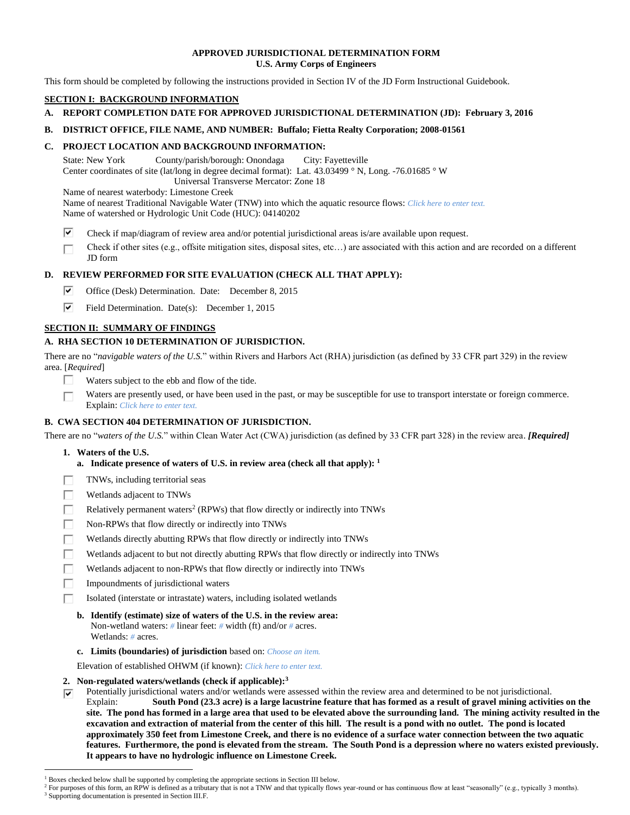### **APPROVED JURISDICTIONAL DETERMINATION FORM U.S. Army Corps of Engineers**

This form should be completed by following the instructions provided in Section IV of the JD Form Instructional Guidebook.

## **SECTION I: BACKGROUND INFORMATION**

## **A. REPORT COMPLETION DATE FOR APPROVED JURISDICTIONAL DETERMINATION (JD): February 3, 2016**

## **B. DISTRICT OFFICE, FILE NAME, AND NUMBER: Buffalo; Fietta Realty Corporation; 2008-01561**

## **C. PROJECT LOCATION AND BACKGROUND INFORMATION:**

State: New York County/parish/borough: Onondaga City: Fayetteville Center coordinates of site (lat/long in degree decimal format): Lat. 43.03499 ° N, Long. -76.01685 ° W Universal Transverse Mercator: Zone 18

Name of nearest waterbody: Limestone Creek

Name of nearest Traditional Navigable Water (TNW) into which the aquatic resource flows: *Click here to enter text.* Name of watershed or Hydrologic Unit Code (HUC): 04140202

⊽ Check if map/diagram of review area and/or potential jurisdictional areas is/are available upon request.

Check if other sites (e.g., offsite mitigation sites, disposal sites, etc…) are associated with this action and are recorded on a different п JD form

# **D. REVIEW PERFORMED FOR SITE EVALUATION (CHECK ALL THAT APPLY):**

- ⊽⊹ Office (Desk) Determination. Date: December 8, 2015
- ⊽⊟ Field Determination. Date(s): December 1, 2015

# **SECTION II: SUMMARY OF FINDINGS**

## **A. RHA SECTION 10 DETERMINATION OF JURISDICTION.**

There are no "*navigable waters of the U.S.*" within Rivers and Harbors Act (RHA) jurisdiction (as defined by 33 CFR part 329) in the review area. [*Required*]

- П. Waters subject to the ebb and flow of the tide.
- Waters are presently used, or have been used in the past, or may be susceptible for use to transport interstate or foreign commerce. П Explain: *Click here to enter text.*

# **B. CWA SECTION 404 DETERMINATION OF JURISDICTION.**

There are no "*waters of the U.S.*" within Clean Water Act (CWA) jurisdiction (as defined by 33 CFR part 328) in the review area. *[Required]*

**1. Waters of the U.S.**

 $\overline{a}$ 

- **a. Indicate presence of waters of U.S. in review area (check all that apply): 1**
- П TNWs, including territorial seas
- П Wetlands adjacent to TNWs
- П Relatively permanent waters<sup>2</sup> (RPWs) that flow directly or indirectly into TNWs
- П Non-RPWs that flow directly or indirectly into TNWs
- г Wetlands directly abutting RPWs that flow directly or indirectly into TNWs
- Wetlands adjacent to but not directly abutting RPWs that flow directly or indirectly into TNWs
- П Wetlands adjacent to non-RPWs that flow directly or indirectly into TNWs
- Impoundments of jurisdictional waters
	- Isolated (interstate or intrastate) waters, including isolated wetlands
	- **b. Identify (estimate) size of waters of the U.S. in the review area:** Non-wetland waters: *#* linear feet: *#* width (ft) and/or *#* acres. Wetlands: *#* acres.
	- **c. Limits (boundaries) of jurisdiction** based on: *Choose an item.*

Elevation of established OHWM (if known): *Click here to enter text.*

- **2. Non-regulated waters/wetlands (check if applicable): 3**
- Potentially jurisdictional waters and/or wetlands were assessed within the review area and determined to be not jurisdictional. ⊽ Explain: **South Pond (23.3 acre) is a large lacustrine feature that has formed as a result of gravel mining activities on the site. The pond has formed in a large area that used to be elevated above the surrounding land. The mining activity resulted in the excavation and extraction of material from the center of this hill. The result is a pond with no outlet. The pond is located approximately 350 feet from Limestone Creek, and there is no evidence of a surface water connection between the two aquatic features. Furthermore, the pond is elevated from the stream. The South Pond is a depression where no waters existed previously. It appears to have no hydrologic influence on Limestone Creek.**

<sup>&</sup>lt;sup>1</sup> Boxes checked below shall be supported by completing the appropriate sections in Section III below.

<sup>&</sup>lt;sup>2</sup> For purposes of this form, an RPW is defined as a tributary that is not a TNW and that typically flows year-round or has continuous flow at least "seasonally" (e.g., typically 3 months). <sup>3</sup> Supporting documentation is presented in Section III.F.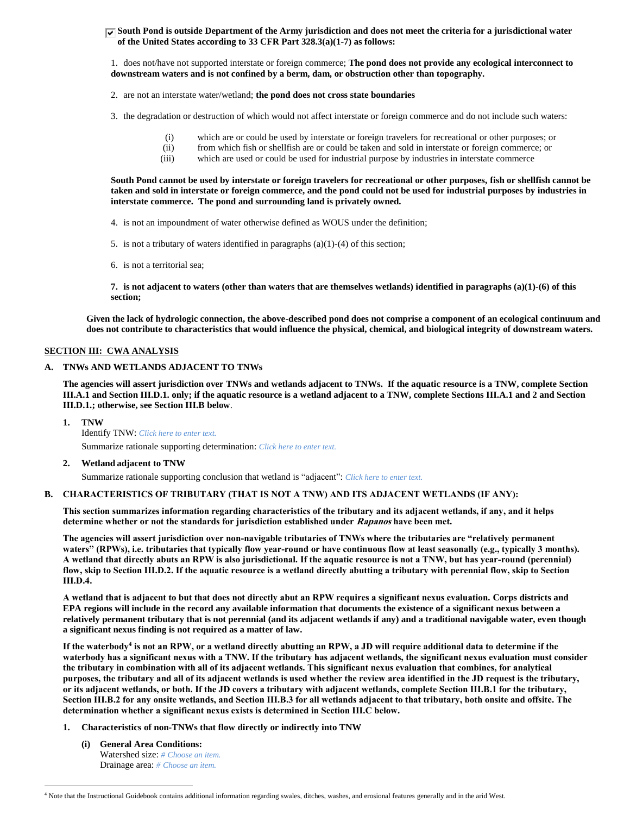### **South Pond is outside Department of the Army jurisdiction and does not meet the criteria for a jurisdictional water of the United States according to 33 CFR Part 328.3(a)(1-7) as follows:**

1. does not/have not supported interstate or foreign commerce; **The pond does not provide any ecological interconnect to downstream waters and is not confined by a berm, dam, or obstruction other than topography.**

2. are not an interstate water/wetland; **the pond does not cross state boundaries**

3. the degradation or destruction of which would not affect interstate or foreign commerce and do not include such waters:

- (i) which are or could be used by interstate or foreign travelers for recreational or other purposes; or
- (ii) from which fish or shellfish are or could be taken and sold in interstate or foreign commerce; or (iii) which are used or could be used for industrial purpose by industries in interstate commerce
- which are used or could be used for industrial purpose by industries in interstate commerce

**South Pond cannot be used by interstate or foreign travelers for recreational or other purposes, fish or shellfish cannot be taken and sold in interstate or foreign commerce, and the pond could not be used for industrial purposes by industries in interstate commerce. The pond and surrounding land is privately owned.**

4. is not an impoundment of water otherwise defined as WOUS under the definition;

5. is not a tributary of waters identified in paragraphs  $(a)(1)-(4)$  of this section;

6. is not a territorial sea;

**7. is not adjacent to waters (other than waters that are themselves wetlands) identified in paragraphs (a)(1)-(6) of this section;**

**Given the lack of hydrologic connection, the above-described pond does not comprise a component of an ecological continuum and does not contribute to characteristics that would influence the physical, chemical, and biological integrity of downstream waters.** 

### **SECTION III: CWA ANALYSIS**

#### **A. TNWs AND WETLANDS ADJACENT TO TNWs**

**The agencies will assert jurisdiction over TNWs and wetlands adjacent to TNWs. If the aquatic resource is a TNW, complete Section III.A.1 and Section III.D.1. only; if the aquatic resource is a wetland adjacent to a TNW, complete Sections III.A.1 and 2 and Section III.D.1.; otherwise, see Section III.B below**.

**1. TNW** 

 $\overline{a}$ 

Identify TNW: *Click here to enter text.* Summarize rationale supporting determination: *Click here to enter text.*

#### **2. Wetland adjacent to TNW**

Summarize rationale supporting conclusion that wetland is "adjacent": *Click here to enter text.*

#### **B. CHARACTERISTICS OF TRIBUTARY (THAT IS NOT A TNW) AND ITS ADJACENT WETLANDS (IF ANY):**

**This section summarizes information regarding characteristics of the tributary and its adjacent wetlands, if any, and it helps determine whether or not the standards for jurisdiction established under Rapanos have been met.** 

**The agencies will assert jurisdiction over non-navigable tributaries of TNWs where the tributaries are "relatively permanent waters" (RPWs), i.e. tributaries that typically flow year-round or have continuous flow at least seasonally (e.g., typically 3 months). A wetland that directly abuts an RPW is also jurisdictional. If the aquatic resource is not a TNW, but has year-round (perennial) flow, skip to Section III.D.2. If the aquatic resource is a wetland directly abutting a tributary with perennial flow, skip to Section III.D.4.**

**A wetland that is adjacent to but that does not directly abut an RPW requires a significant nexus evaluation. Corps districts and EPA regions will include in the record any available information that documents the existence of a significant nexus between a relatively permanent tributary that is not perennial (and its adjacent wetlands if any) and a traditional navigable water, even though a significant nexus finding is not required as a matter of law.**

**If the waterbody<sup>4</sup> is not an RPW, or a wetland directly abutting an RPW, a JD will require additional data to determine if the waterbody has a significant nexus with a TNW. If the tributary has adjacent wetlands, the significant nexus evaluation must consider the tributary in combination with all of its adjacent wetlands. This significant nexus evaluation that combines, for analytical purposes, the tributary and all of its adjacent wetlands is used whether the review area identified in the JD request is the tributary, or its adjacent wetlands, or both. If the JD covers a tributary with adjacent wetlands, complete Section III.B.1 for the tributary, Section III.B.2 for any onsite wetlands, and Section III.B.3 for all wetlands adjacent to that tributary, both onsite and offsite. The determination whether a significant nexus exists is determined in Section III.C below.**

- **1. Characteristics of non-TNWs that flow directly or indirectly into TNW**
	- **(i) General Area Conditions:** Watershed size: *# Choose an item.* Drainage area: *# Choose an item.*

<sup>4</sup> Note that the Instructional Guidebook contains additional information regarding swales, ditches, washes, and erosional features generally and in the arid West.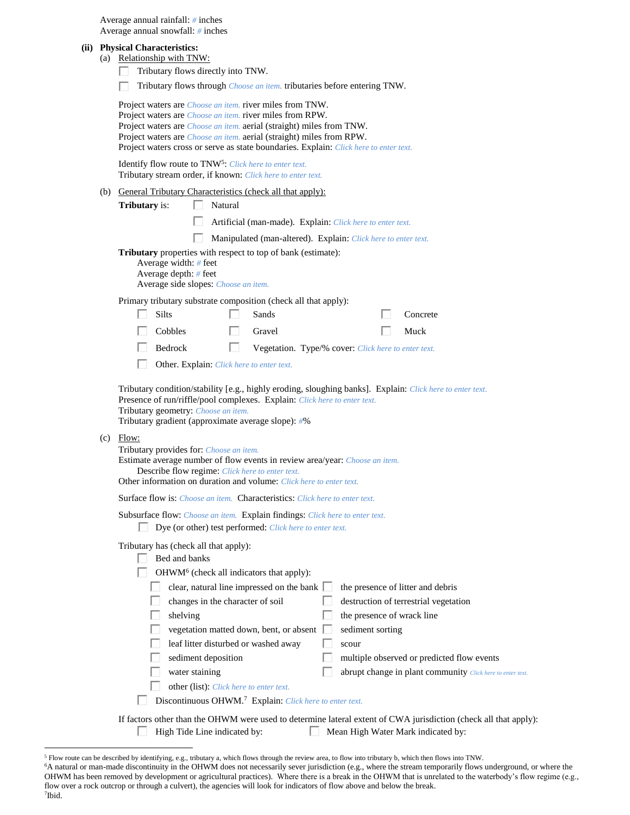|  | Average annual rainfall: $#$ inches |  |
|--|-------------------------------------|--|
|  | Average annual snowfall: $#$ inches |  |

#### **(ii) Physical Characteristics:**

- (a) Relationship with TNW:
	- Tributary flows directly into TNW.
	- Tributary flows through *Choose an item.* tributaries before entering TNW. Г

Project waters are *Choose an item.* river miles from TNW. Project waters are *Choose an item.* river miles from RPW. Project waters are *Choose an item.* aerial (straight) miles from TNW. Project waters are *Choose an item.* aerial (straight) miles from RPW. Project waters cross or serve as state boundaries. Explain: *Click here to enter text.*

Identify flow route to TNW<sup>5</sup>: Click here to enter text. Tributary stream order, if known: *Click here to enter text.*

(b) General Tributary Characteristics (check all that apply):

**Tributary** is:  $\Box$  Natural

- Artificial (man-made). Explain: *Click here to enter text.*
- Manipulated (man-altered). Explain: *Click here to enter text.*

**Tributary** properties with respect to top of bank (estimate):

| Average width: $#$ feet              |
|--------------------------------------|
| Average depth: $#$ feet              |
| Average side slopes: Choose an item. |

Primary tributary substrate composition (check all that apply):

| $\Box$ Silts   | $\Box$ Sands                                               | $\Box$ Concrete |
|----------------|------------------------------------------------------------|-----------------|
| $\Box$ Cobbles | $\Box$ Gravel                                              | $\Box$ Muck     |
| $\Box$ Bedrock | <b>Negetation.</b> Type/% cover: Click here to enter text. |                 |

Other. Explain: *Click here to enter text.*

Tributary condition/stability [e.g., highly eroding, sloughing banks]. Explain: *Click here to enter text.* Presence of run/riffle/pool complexes. Explain: *Click here to enter text.* Tributary geometry: *Choose an item.*

Tributary gradient (approximate average slope): *#*%

#### (c) Flow:

 $\overline{a}$ 

| Tributary provides for: <i>Choose an item.</i>                                            |  |  |  |  |
|-------------------------------------------------------------------------------------------|--|--|--|--|
| Estimate average number of flow events in review area/year: <i>Choose an item.</i>        |  |  |  |  |
| Describe flow regime: Click here to enter text.                                           |  |  |  |  |
| Other information on duration and volume: Click here to enter text.                       |  |  |  |  |
| <b>Surface flow is:</b> Choose an item. <b>Characteristics:</b> Click here to enter text. |  |  |  |  |

Subsurface flow: *Choose an item.* Explain findings: *Click here to enter text.*

|  |  | Dye (or other) test performed: <i>Click here to enter text</i> . |  |  |
|--|--|------------------------------------------------------------------|--|--|
|--|--|------------------------------------------------------------------|--|--|

Tributary has (check all that apply):

| Bed and banks                                                                                                |  |                                                            |  |  |
|--------------------------------------------------------------------------------------------------------------|--|------------------------------------------------------------|--|--|
| $OHWM6$ (check all indicators that apply):                                                                   |  |                                                            |  |  |
| clear, natural line impressed on the bank                                                                    |  | the presence of litter and debris                          |  |  |
| changes in the character of soil                                                                             |  | destruction of terrestrial vegetation                      |  |  |
| shelving                                                                                                     |  | the presence of wrack line                                 |  |  |
| vegetation matted down, bent, or absent                                                                      |  | sediment sorting                                           |  |  |
| leaf litter disturbed or washed away                                                                         |  | scour                                                      |  |  |
| sediment deposition                                                                                          |  | multiple observed or predicted flow events                 |  |  |
| water staining                                                                                               |  | abrupt change in plant community Click here to enter text. |  |  |
| other (list). Click here to enter text.                                                                      |  |                                                            |  |  |
| Discontinuous OHWM. <sup>7</sup> Explain: Click here to enter text.                                          |  |                                                            |  |  |
| ectors other than the OUWM were used to determine lateral extent of CWA invigibition (aboals all that emply) |  |                                                            |  |  |

If factors other than the OHWM were used to determine lateral extent of CWA jurisdiction (check all that apply): High Tide Line indicated by: Mean High Water Mark indicated by:

<sup>5</sup> Flow route can be described by identifying, e.g., tributary a, which flows through the review area, to flow into tributary b, which then flows into TNW.

<sup>6</sup>A natural or man-made discontinuity in the OHWM does not necessarily sever jurisdiction (e.g., where the stream temporarily flows underground, or where the OHWM has been removed by development or agricultural practices). Where there is a break in the OHWM that is unrelated to the waterbody's flow regime (e.g., flow over a rock outcrop or through a culvert), the agencies will look for indicators of flow above and below the break. 7 Ibid.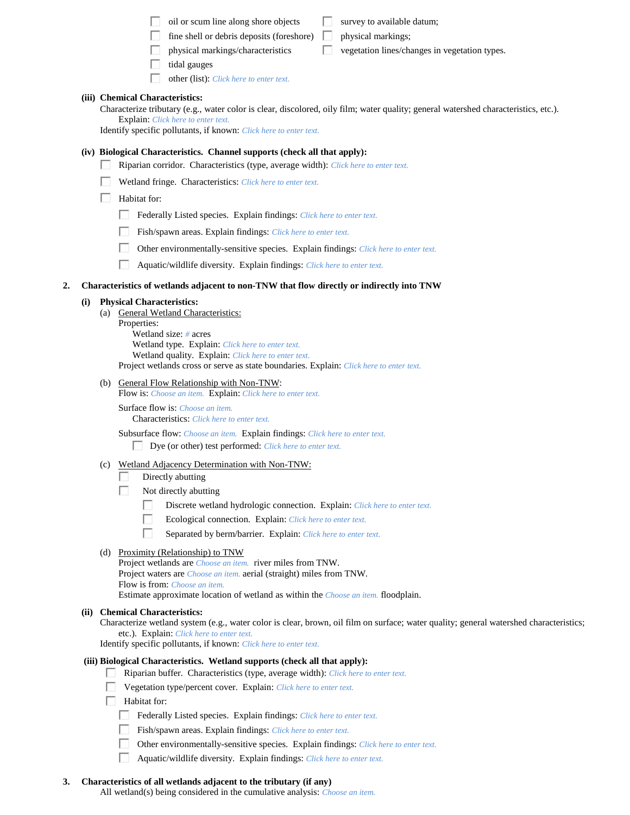|    |     | oil or scum line along shore objects<br>survey to available datum;                                                                                                                                                                                                                |
|----|-----|-----------------------------------------------------------------------------------------------------------------------------------------------------------------------------------------------------------------------------------------------------------------------------------|
|    |     | fine shell or debris deposits (foreshore)<br>physical markings;                                                                                                                                                                                                                   |
|    |     | physical markings/characteristics<br>vegetation lines/changes in vegetation types.                                                                                                                                                                                                |
|    |     | tidal gauges                                                                                                                                                                                                                                                                      |
|    |     | other (list): Click here to enter text.                                                                                                                                                                                                                                           |
|    |     | (iii) Chemical Characteristics:<br>Characterize tributary (e.g., water color is clear, discolored, oily film; water quality; general watershed characteristics, etc.).<br>Explain: Click here to enter text.<br>Identify specific pollutants, if known: Click here to enter text. |
|    |     | (iv) Biological Characteristics. Channel supports (check all that apply):                                                                                                                                                                                                         |
|    |     | Riparian corridor. Characteristics (type, average width): Click here to enter text.                                                                                                                                                                                               |
|    |     | Wetland fringe. Characteristics: Click here to enter text.                                                                                                                                                                                                                        |
|    |     | Habitat for:                                                                                                                                                                                                                                                                      |
|    |     | Federally Listed species. Explain findings: Click here to enter text.                                                                                                                                                                                                             |
|    |     | Fish/spawn areas. Explain findings: Click here to enter text.                                                                                                                                                                                                                     |
|    |     | П<br>Other environmentally-sensitive species. Explain findings: Click here to enter text.                                                                                                                                                                                         |
|    |     | ш<br>Aquatic/wildlife diversity. Explain findings: Click here to enter text.                                                                                                                                                                                                      |
|    |     |                                                                                                                                                                                                                                                                                   |
| 2. |     | Characteristics of wetlands adjacent to non-TNW that flow directly or indirectly into TNW                                                                                                                                                                                         |
|    | (i) | <b>Physical Characteristics:</b><br>(a) General Wetland Characteristics:                                                                                                                                                                                                          |
|    |     | Properties:                                                                                                                                                                                                                                                                       |
|    |     | Wetland size: $#$ acres<br>Wetland type. Explain: Click here to enter text.                                                                                                                                                                                                       |
|    |     | Wetland quality. Explain: Click here to enter text.                                                                                                                                                                                                                               |
|    |     | Project wetlands cross or serve as state boundaries. Explain: Click here to enter text.                                                                                                                                                                                           |
|    |     | (b) General Flow Relationship with Non-TNW:<br>Flow is: Choose an item. Explain: Click here to enter text.                                                                                                                                                                        |
|    |     | Surface flow is: Choose an item.<br><b>Characteristics:</b> Click here to enter text.                                                                                                                                                                                             |
|    |     | Subsurface flow: Choose an item. Explain findings: Click here to enter text.<br>Dye (or other) test performed: Click here to enter text.<br>L                                                                                                                                     |
|    |     | (c) Wetland Adjacency Determination with Non-TNW:                                                                                                                                                                                                                                 |
|    |     | Directly abutting                                                                                                                                                                                                                                                                 |
|    |     | Not directly abutting                                                                                                                                                                                                                                                             |
|    |     | Discrete wetland hydrologic connection. Explain: Click here to enter text.<br>Ecological connection. Explain: Click here to enter text.                                                                                                                                           |
|    |     | Separated by berm/barrier. Explain: Click here to enter text.                                                                                                                                                                                                                     |
|    |     |                                                                                                                                                                                                                                                                                   |
|    |     | (d) Proximity (Relationship) to TNW<br>Project wetlands are <i>Choose an item.</i> river miles from TNW.                                                                                                                                                                          |
|    |     | Project waters are <i>Choose an item.</i> aerial (straight) miles from TNW.<br>Flow is from: Choose an item.                                                                                                                                                                      |
|    |     | Estimate approximate location of wetland as within the Choose an item. floodplain.                                                                                                                                                                                                |
|    |     | (ii) Chemical Characteristics:                                                                                                                                                                                                                                                    |
|    |     | Characterize wetland system (e.g., water color is clear, brown, oil film on surface; water quality; general watershed characteristics;                                                                                                                                            |
|    |     | etc.). Explain: Click here to enter text.<br>Identify specific pollutants, if known: Click here to enter text.                                                                                                                                                                    |
|    |     | (iii) Biological Characteristics. Wetland supports (check all that apply):<br>Riparian buffer. Characteristics (type, average width): Click here to enter text.                                                                                                                   |
|    |     | Vegetation type/percent cover. Explain: Click here to enter text.                                                                                                                                                                                                                 |
|    |     | Habitat for:                                                                                                                                                                                                                                                                      |
|    |     | Federally Listed species. Explain findings: Click here to enter text.                                                                                                                                                                                                             |
|    |     | Fish/spawn areas. Explain findings: Click here to enter text.                                                                                                                                                                                                                     |
|    |     | Other environmentally-sensitive species. Explain findings: Click here to enter text.                                                                                                                                                                                              |
|    |     | Aquatic/wildlife diversity. Explain findings: Click here to enter text.                                                                                                                                                                                                           |
|    |     |                                                                                                                                                                                                                                                                                   |

## **3. Characteristics of all wetlands adjacent to the tributary (if any)**

All wetland(s) being considered in the cumulative analysis: *Choose an item.*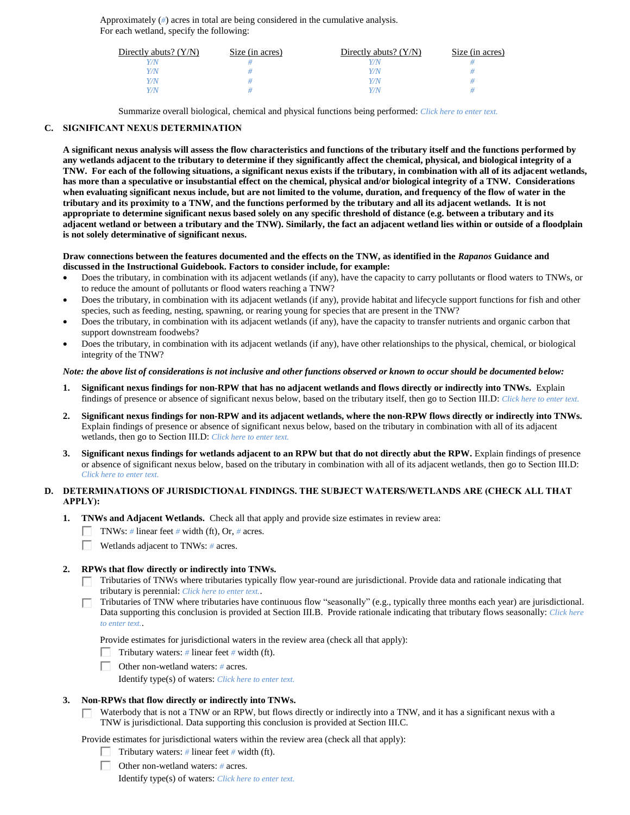Approximately (*#*) acres in total are being considered in the cumulative analysis. For each wetland, specify the following:

| Directly abuts? $(Y/N)$ | Size (in acres) | Directly abuts? $(Y/N)$ | Size (in acres) |
|-------------------------|-----------------|-------------------------|-----------------|
|                         |                 | Y/N                     |                 |
| Y/N                     |                 | Y/N                     |                 |
| Y/N                     |                 | Y/N                     |                 |
|                         |                 | Y/N                     |                 |

Summarize overall biological, chemical and physical functions being performed: *Click here to enter text.*

### **C. SIGNIFICANT NEXUS DETERMINATION**

**A significant nexus analysis will assess the flow characteristics and functions of the tributary itself and the functions performed by any wetlands adjacent to the tributary to determine if they significantly affect the chemical, physical, and biological integrity of a TNW. For each of the following situations, a significant nexus exists if the tributary, in combination with all of its adjacent wetlands, has more than a speculative or insubstantial effect on the chemical, physical and/or biological integrity of a TNW. Considerations when evaluating significant nexus include, but are not limited to the volume, duration, and frequency of the flow of water in the tributary and its proximity to a TNW, and the functions performed by the tributary and all its adjacent wetlands. It is not appropriate to determine significant nexus based solely on any specific threshold of distance (e.g. between a tributary and its adjacent wetland or between a tributary and the TNW). Similarly, the fact an adjacent wetland lies within or outside of a floodplain is not solely determinative of significant nexus.** 

### **Draw connections between the features documented and the effects on the TNW, as identified in the** *Rapanos* **Guidance and discussed in the Instructional Guidebook. Factors to consider include, for example:**

- Does the tributary, in combination with its adjacent wetlands (if any), have the capacity to carry pollutants or flood waters to TNWs, or to reduce the amount of pollutants or flood waters reaching a TNW?
- Does the tributary, in combination with its adjacent wetlands (if any), provide habitat and lifecycle support functions for fish and other species, such as feeding, nesting, spawning, or rearing young for species that are present in the TNW?
- Does the tributary, in combination with its adjacent wetlands (if any), have the capacity to transfer nutrients and organic carbon that support downstream foodwebs?
- Does the tributary, in combination with its adjacent wetlands (if any), have other relationships to the physical, chemical, or biological integrity of the TNW?

### *Note: the above list of considerations is not inclusive and other functions observed or known to occur should be documented below:*

- **1. Significant nexus findings for non-RPW that has no adjacent wetlands and flows directly or indirectly into TNWs.** Explain findings of presence or absence of significant nexus below, based on the tributary itself, then go to Section III.D: *Click here to enter text.*
- **2. Significant nexus findings for non-RPW and its adjacent wetlands, where the non-RPW flows directly or indirectly into TNWs.**  Explain findings of presence or absence of significant nexus below, based on the tributary in combination with all of its adjacent wetlands, then go to Section III.D: *Click here to enter text.*
- **3. Significant nexus findings for wetlands adjacent to an RPW but that do not directly abut the RPW.** Explain findings of presence or absence of significant nexus below, based on the tributary in combination with all of its adjacent wetlands, then go to Section III.D: *Click here to enter text.*

## **D. DETERMINATIONS OF JURISDICTIONAL FINDINGS. THE SUBJECT WATERS/WETLANDS ARE (CHECK ALL THAT APPLY):**

- **1. TNWs and Adjacent Wetlands.** Check all that apply and provide size estimates in review area:
	- TNWs: *#* linear feet *#* width (ft), Or, *#* acres.
	- Wetlands adjacent to TNWs: *#* acres.

#### **2. RPWs that flow directly or indirectly into TNWs.**

- Tributaries of TNWs where tributaries typically flow year-round are jurisdictional. Provide data and rationale indicating that tributary is perennial: *Click here to enter text.*.
- Tributaries of TNW where tributaries have continuous flow "seasonally" (e.g., typically three months each year) are jurisdictional. Data supporting this conclusion is provided at Section III.B. Provide rationale indicating that tributary flows seasonally: *Click here to enter text.*.

Provide estimates for jurisdictional waters in the review area (check all that apply):

- Tributary waters:  $\#$  linear feet  $\#$  width (ft).
- Other non-wetland waters: *#* acres.
	- Identify type(s) of waters: *Click here to enter text.*

#### **3. Non-RPWs that flow directly or indirectly into TNWs.**

Waterbody that is not a TNW or an RPW, but flows directly or indirectly into a TNW, and it has a significant nexus with a П. TNW is jurisdictional. Data supporting this conclusion is provided at Section III.C.

Provide estimates for jurisdictional waters within the review area (check all that apply):

- Tributary waters:  $\#$  linear feet  $\#$  width (ft).
- Other non-wetland waters: *#* acres.

Identify type(s) of waters: *Click here to enter text.*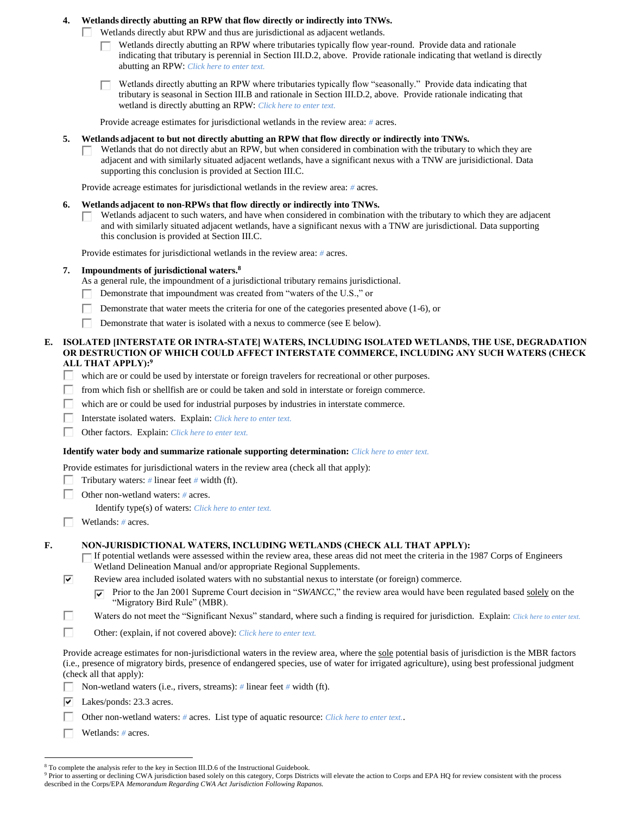### **4. Wetlands directly abutting an RPW that flow directly or indirectly into TNWs.**

Wetlands directly abut RPW and thus are jurisdictional as adjacent wetlands.

- Wetlands directly abutting an RPW where tributaries typically flow year-round. Provide data and rationale indicating that tributary is perennial in Section III.D.2, above. Provide rationale indicating that wetland is directly abutting an RPW: *Click here to enter text.*
- Wetlands directly abutting an RPW where tributaries typically flow "seasonally." Provide data indicating that tributary is seasonal in Section III.B and rationale in Section III.D.2, above. Provide rationale indicating that wetland is directly abutting an RPW: *Click here to enter text.*

Provide acreage estimates for jurisdictional wetlands in the review area: *#* acres.

- **5. Wetlands adjacent to but not directly abutting an RPW that flow directly or indirectly into TNWs.**
	- Wetlands that do not directly abut an RPW, but when considered in combination with the tributary to which they are adjacent and with similarly situated adjacent wetlands, have a significant nexus with a TNW are jurisidictional. Data supporting this conclusion is provided at Section III.C.

Provide acreage estimates for jurisdictional wetlands in the review area: *#* acres.

- **6. Wetlands adjacent to non-RPWs that flow directly or indirectly into TNWs.** 
	- Wetlands adjacent to such waters, and have when considered in combination with the tributary to which they are adjacent and with similarly situated adjacent wetlands, have a significant nexus with a TNW are jurisdictional. Data supporting this conclusion is provided at Section III.C.

Provide estimates for jurisdictional wetlands in the review area: *#* acres.

- **7. Impoundments of jurisdictional waters. 8**
	- As a general rule, the impoundment of a jurisdictional tributary remains jurisdictional.
	- Demonstrate that impoundment was created from "waters of the U.S.," or
	- П Demonstrate that water meets the criteria for one of the categories presented above (1-6), or
	- Demonstrate that water is isolated with a nexus to commerce (see E below).
- **E. ISOLATED [INTERSTATE OR INTRA-STATE] WATERS, INCLUDING ISOLATED WETLANDS, THE USE, DEGRADATION OR DESTRUCTION OF WHICH COULD AFFECT INTERSTATE COMMERCE, INCLUDING ANY SUCH WATERS (CHECK ALL THAT APPLY):<sup>9</sup>**
	- П. which are or could be used by interstate or foreign travelers for recreational or other purposes.
	- Г from which fish or shellfish are or could be taken and sold in interstate or foreign commerce.
	- г which are or could be used for industrial purposes by industries in interstate commerce.
	- П Interstate isolated waters.Explain: *Click here to enter text.*
	- Other factors.Explain: *Click here to enter text.*

#### **Identify water body and summarize rationale supporting determination:** *Click here to enter text.*

Provide estimates for jurisdictional waters in the review area (check all that apply):

- Tributary waters: *#* linear feet *#* width (ft). п.
- Other non-wetland waters: *#* acres.
	- Identify type(s) of waters: *Click here to enter text.*
- Wetlands: *#* acres.

#### **F. NON-JURISDICTIONAL WATERS, INCLUDING WETLANDS (CHECK ALL THAT APPLY):**

- If potential wetlands were assessed within the review area, these areas did not meet the criteria in the 1987 Corps of Engineers Г Wetland Delineation Manual and/or appropriate Regional Supplements.
- ⊽ Review area included isolated waters with no substantial nexus to interstate (or foreign) commerce.
	- Prior to the Jan 2001 Supreme Court decision in "*SWANCC*," the review area would have been regulated based solely on the ⊽ "Migratory Bird Rule" (MBR).
- П Waters do not meet the "Significant Nexus" standard, where such a finding is required for jurisdiction. Explain: *Click here to enter text.*
- П Other: (explain, if not covered above): *Click here to enter text.*

Provide acreage estimates for non-jurisdictional waters in the review area, where the sole potential basis of jurisdiction is the MBR factors (i.e., presence of migratory birds, presence of endangered species, use of water for irrigated agriculture), using best professional judgment (check all that apply):

- Non-wetland waters (i.e., rivers, streams): *#* linear feet *#* width (ft). Е
- $\overline{\triangledown}$  Lakes/ponds: 23.3 acres.
	- Other non-wetland waters: *#* acres. List type of aquatic resource: *Click here to enter text.*.
- П. Wetlands: *#* acres.

 $\overline{a}$ 

<sup>&</sup>lt;sup>8</sup> To complete the analysis refer to the key in Section III.D.6 of the Instructional Guidebook.

<sup>&</sup>lt;sup>9</sup> Prior to asserting or declining CWA jurisdiction based solely on this category, Corps Districts will elevate the action to Corps and EPA HQ for review consistent with the process described in the Corps/EPA *Memorandum Regarding CWA Act Jurisdiction Following Rapanos.*